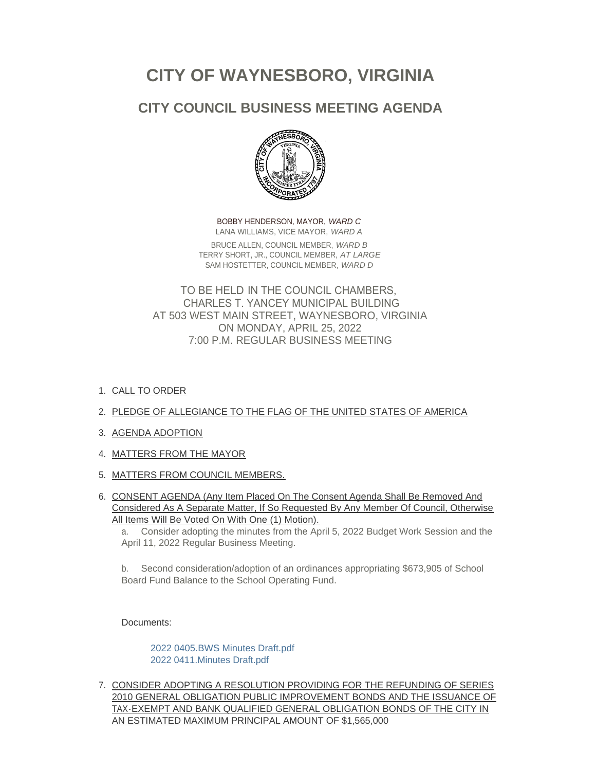# **CITY OF WAYNESBORO, VIRGINIA**

# **CITY COUNCIL BUSINESS MEETING AGENDA**



BOBBY HENDERSON, MAYOR, *WARD C* LANA WILLIAMS, VICE MAYOR, *WARD A* BRUCE ALLEN, COUNCIL MEMBER, *WARD B* TERRY SHORT, JR., COUNCIL MEMBER, *AT LARGE* SAM HOSTETTER, COUNCIL MEMBER, *WARD D*

TO BE HELD IN THE COUNCIL CHAMBERS, CHARLES T. YANCEY MUNICIPAL BUILDING AT 503 WEST MAIN STREET, WAYNESBORO, VIRGINIA ON MONDAY, APRIL 25, 2022 7:00 P.M. REGULAR BUSINESS MEETING

1. <u>CALL TO ORDER</u>

# 2. PLEDGE OF ALLEGIANCE TO THE FLAG OF THE UNITED STATES OF AMERICA

- 3. AGENDA ADOPTION
- 4. MATTERS FROM THE MAYOR
- 5. <u>MATTERS FROM COUNCIL MEMBERS.</u>
- 6. CONSENT AGENDA (Any Item Placed On The Consent Agenda Shall Be Removed And Considered As A Separate Matter, If So Requested By Any Member Of Council, Otherwise All Items Will Be Voted On With One (1) Motion).

a. Consider adopting the minutes from the April 5, 2022 Budget Work Session and the April 11, 2022 Regular Business Meeting.

b. Second consideration/adoption of an ordinances appropriating \$673,905 of School Board Fund Balance to the School Operating Fund.

Documents:

[2022 0405.BWS Minutes Draft.pdf](https://www.waynesboro.va.us/AgendaCenter/ViewFile/Item/4685?fileID=44472) [2022 0411.Minutes Draft.pdf](https://www.waynesboro.va.us/AgendaCenter/ViewFile/Item/4685?fileID=44473)

7. <u>CONSIDER ADOPTING A RESOLUTION PROVIDING FOR THE REFUNDING OF SERIES</u> 2010 GENERAL OBLIGATION PUBLIC IMPROVEMENT BONDS AND THE ISSUANCE OF TAX-EXEMPT AND BANK QUALIFIED GENERAL OBLIGATION BONDS OF THE CITY IN AN ESTIMATED MAXIMUM PRINCIPAL AMOUNT OF \$1,565,000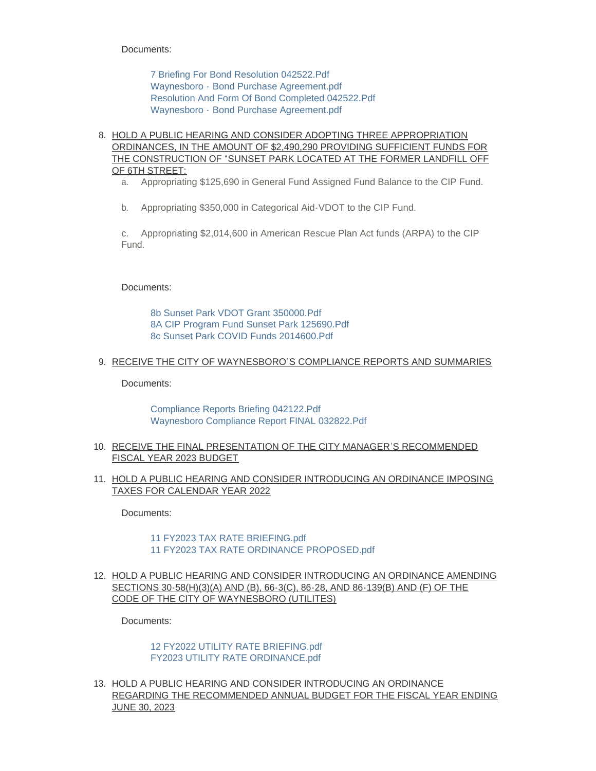Documents:

[7 Briefing For Bond Resolution 042522.Pdf](https://www.waynesboro.va.us/AgendaCenter/ViewFile/Item/4686?fileID=44491) Waynesboro - [Bond Purchase Agreement.pdf](https://www.waynesboro.va.us/AgendaCenter/ViewFile/Item/4686?fileID=44474) [Resolution And Form Of Bond Completed 042522.Pdf](https://www.waynesboro.va.us/AgendaCenter/ViewFile/Item/4686?fileID=44476) Waynesboro - [Bond Purchase Agreement.pdf](https://www.waynesboro.va.us/AgendaCenter/ViewFile/Item/4686?fileID=44475)

8. HOLD A PUBLIC HEARING AND CONSIDER ADOPTING THREE APPROPRIATION ORDINANCES, IN THE AMOUNT OF \$2,490,290 PROVIDING SUFFICIENT FUNDS FOR THE CONSTRUCTION OF "SUNSET PARK LOCATED AT THE FORMER LANDFILL OFF OF 6TH STREET:

a. Appropriating \$125,690 in General Fund Assigned Fund Balance to the CIP Fund.

b. Appropriating \$350,000 in Categorical Aid-VDOT to the CIP Fund.

c. Appropriating \$2,014,600 in American Rescue Plan Act funds (ARPA) to the CIP Fund.

Documents:

[8b Sunset Park VDOT Grant 350000.Pdf](https://www.waynesboro.va.us/AgendaCenter/ViewFile/Item/4687?fileID=44479) [8A CIP Program Fund Sunset Park 125690.Pdf](https://www.waynesboro.va.us/AgendaCenter/ViewFile/Item/4687?fileID=44477) [8c Sunset Park COVID Funds 2014600.Pdf](https://www.waynesboro.va.us/AgendaCenter/ViewFile/Item/4687?fileID=44478)

#### 9. RECEIVE THE CITY OF WAYNESBORO'S COMPLIANCE REPORTS AND SUMMARIES

Documents:

[Compliance Reports Briefing 042122.Pdf](https://www.waynesboro.va.us/AgendaCenter/ViewFile/Item/4688?fileID=44480) [Waynesboro Compliance Report FINAL 032822.Pdf](https://www.waynesboro.va.us/AgendaCenter/ViewFile/Item/4688?fileID=44481)

- 10. RECEIVE THE FINAL PRESENTATION OF THE CITY MANAGER'S RECOMMENDED FISCAL YEAR 2023 BUDGET
- 11. <u>HOLD A PUBLIC HEARING AND CONSIDER INTRODUCING AN ORDINANCE IMPOSING</u> TAXES FOR CALENDAR YEAR 2022

Documents:

#### [11 FY2023 TAX RATE BRIEFING.pdf](https://www.waynesboro.va.us/AgendaCenter/ViewFile/Item/4690?fileID=44482) [11 FY2023 TAX RATE ORDINANCE PROPOSED.pdf](https://www.waynesboro.va.us/AgendaCenter/ViewFile/Item/4690?fileID=44483)

12. HOLD A PUBLIC HEARING AND CONSIDER INTRODUCING AN ORDINANCE AMENDING SECTIONS 30-58(H)(3)(A) AND (B), 66-3(C), 86-28, AND 86-139(B) AND (F) OF THE CODE OF THE CITY OF WAYNESBORO (UTILITES)

Documents:

[12 FY2022 UTILITY RATE BRIEFING.pdf](https://www.waynesboro.va.us/AgendaCenter/ViewFile/Item/4691?fileID=44484) [FY2023 UTILITY RATE ORDINANCE.pdf](https://www.waynesboro.va.us/AgendaCenter/ViewFile/Item/4691?fileID=44485)

<u>13. HOLD A PUBLIC HEARING AND CONSIDER INTRODUCING AN ORDINANCE</u> REGARDING THE RECOMMENDED ANNUAL BUDGET FOR THE FISCAL YEAR ENDING JUNE 30, 2023